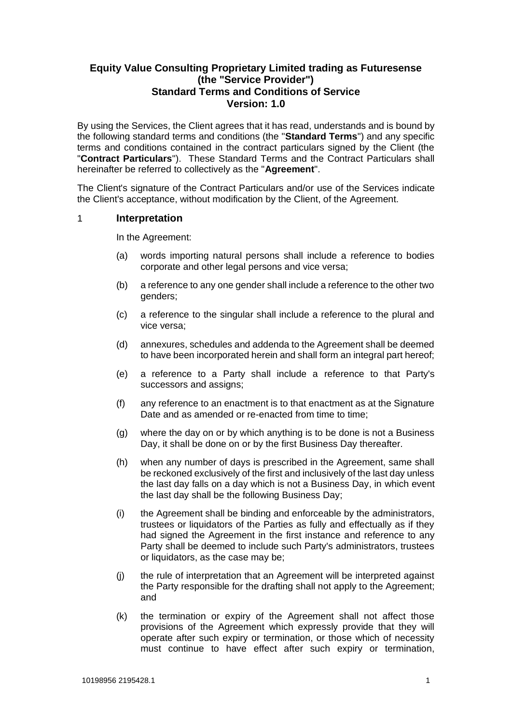# **Equity Value Consulting Proprietary Limited trading as Futuresense (the "Service Provider") Standard Terms and Conditions of Service Version: 1.0**

By using the Services, the Client agrees that it has read, understands and is bound by the following standard terms and conditions (the "**Standard Terms**") and any specific terms and conditions contained in the contract particulars signed by the Client (the "**Contract Particulars**"). These Standard Terms and the Contract Particulars shall hereinafter be referred to collectively as the "**Agreement**".

The Client's signature of the Contract Particulars and/or use of the Services indicate the Client's acceptance, without modification by the Client, of the Agreement.

### 1 **Interpretation**

In the Agreement:

- (a) words importing natural persons shall include a reference to bodies corporate and other legal persons and vice versa;
- (b) a reference to any one gender shall include a reference to the other two genders;
- (c) a reference to the singular shall include a reference to the plural and vice versa;
- (d) annexures, schedules and addenda to the Agreement shall be deemed to have been incorporated herein and shall form an integral part hereof;
- (e) a reference to a Party shall include a reference to that Party's successors and assigns;
- (f) any reference to an enactment is to that enactment as at the Signature Date and as amended or re-enacted from time to time;
- (g) where the day on or by which anything is to be done is not a Business Day, it shall be done on or by the first Business Day thereafter.
- (h) when any number of days is prescribed in the Agreement, same shall be reckoned exclusively of the first and inclusively of the last day unless the last day falls on a day which is not a Business Day, in which event the last day shall be the following Business Day;
- (i) the Agreement shall be binding and enforceable by the administrators, trustees or liquidators of the Parties as fully and effectually as if they had signed the Agreement in the first instance and reference to any Party shall be deemed to include such Party's administrators, trustees or liquidators, as the case may be;
- (j) the rule of interpretation that an Agreement will be interpreted against the Party responsible for the drafting shall not apply to the Agreement; and
- (k) the termination or expiry of the Agreement shall not affect those provisions of the Agreement which expressly provide that they will operate after such expiry or termination, or those which of necessity must continue to have effect after such expiry or termination,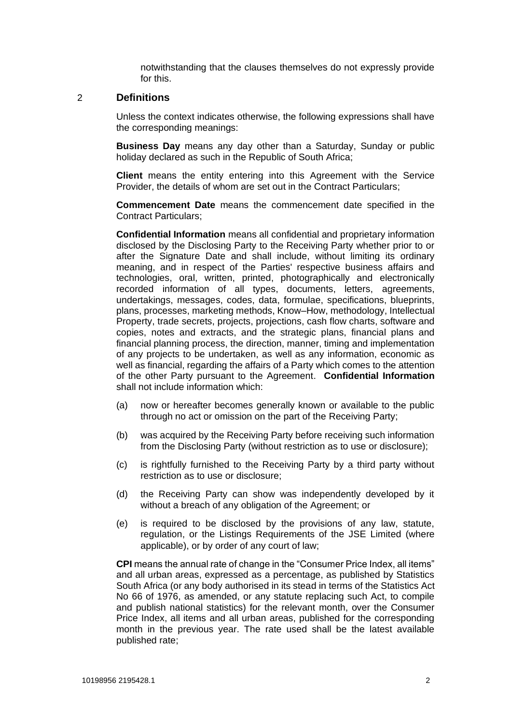notwithstanding that the clauses themselves do not expressly provide for this.

#### 2 **Definitions**

Unless the context indicates otherwise, the following expressions shall have the corresponding meanings:

**Business Day** means any day other than a Saturday, Sunday or public holiday declared as such in the Republic of South Africa;

**Client** means the entity entering into this Agreement with the Service Provider, the details of whom are set out in the Contract Particulars;

**Commencement Date** means the commencement date specified in the Contract Particulars;

**Confidential Information** means all confidential and proprietary information disclosed by the Disclosing Party to the Receiving Party whether prior to or after the Signature Date and shall include, without limiting its ordinary meaning, and in respect of the Parties' respective business affairs and technologies, oral, written, printed, photographically and electronically recorded information of all types, documents, letters, agreements, undertakings, messages, codes, data, formulae, specifications, blueprints, plans, processes, marketing methods, Know–How, methodology, Intellectual Property, trade secrets, projects, projections, cash flow charts, software and copies, notes and extracts, and the strategic plans, financial plans and financial planning process, the direction, manner, timing and implementation of any projects to be undertaken, as well as any information, economic as well as financial, regarding the affairs of a Party which comes to the attention of the other Party pursuant to the Agreement. **Confidential Information** shall not include information which:

- (a) now or hereafter becomes generally known or available to the public through no act or omission on the part of the Receiving Party;
- (b) was acquired by the Receiving Party before receiving such information from the Disclosing Party (without restriction as to use or disclosure);
- (c) is rightfully furnished to the Receiving Party by a third party without restriction as to use or disclosure;
- (d) the Receiving Party can show was independently developed by it without a breach of any obligation of the Agreement; or
- (e) is required to be disclosed by the provisions of any law, statute, regulation, or the Listings Requirements of the JSE Limited (where applicable), or by order of any court of law;

**CPI** means the annual rate of change in the "Consumer Price Index, all items" and all urban areas, expressed as a percentage, as published by Statistics South Africa (or any body authorised in its stead in terms of the Statistics Act No 66 of 1976, as amended, or any statute replacing such Act, to compile and publish national statistics) for the relevant month, over the Consumer Price Index, all items and all urban areas, published for the corresponding month in the previous year. The rate used shall be the latest available published rate;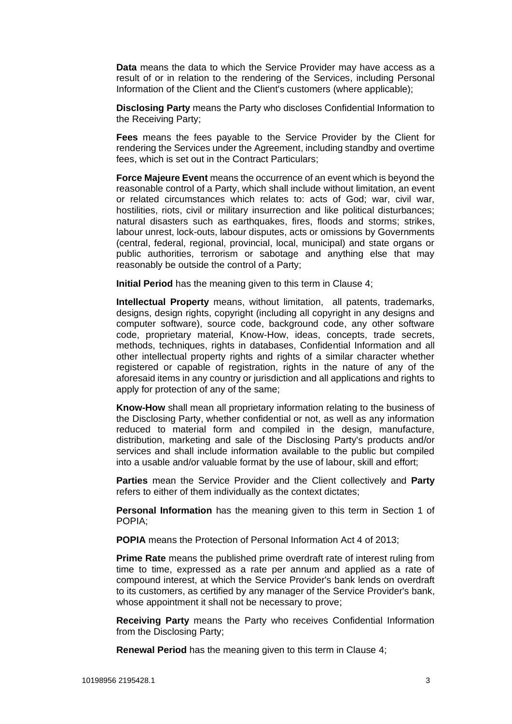**Data** means the data to which the Service Provider may have access as a result of or in relation to the rendering of the Services, including Personal Information of the Client and the Client's customers (where applicable);

**Disclosing Party** means the Party who discloses Confidential Information to the Receiving Party;

**Fees** means the fees payable to the Service Provider by the Client for rendering the Services under the Agreement, including standby and overtime fees, which is set out in the Contract Particulars;

**Force Majeure Event** means the occurrence of an event which is beyond the reasonable control of a Party, which shall include without limitation, an event or related circumstances which relates to: acts of God; war, civil war, hostilities, riots, civil or military insurrection and like political disturbances; natural disasters such as earthquakes, fires, floods and storms; strikes, labour unrest, lock-outs, labour disputes, acts or omissions by Governments (central, federal, regional, provincial, local, municipal) and state organs or public authorities, terrorism or sabotage and anything else that may reasonably be outside the control of a Party;

**Initial Period** has the meaning given to this term in Clause [4;](#page-3-0)

**Intellectual Property** means, without limitation, all patents, trademarks, designs, design rights, copyright (including all copyright in any designs and computer software), source code, background code, any other software code, proprietary material, Know-How, ideas, concepts, trade secrets, methods, techniques, rights in databases, Confidential Information and all other intellectual property rights and rights of a similar character whether registered or capable of registration, rights in the nature of any of the aforesaid items in any country or jurisdiction and all applications and rights to apply for protection of any of the same;

**Know-How** shall mean all proprietary information relating to the business of the Disclosing Party, whether confidential or not, as well as any information reduced to material form and compiled in the design, manufacture, distribution, marketing and sale of the Disclosing Party's products and/or services and shall include information available to the public but compiled into a usable and/or valuable format by the use of labour, skill and effort;

**Parties** mean the Service Provider and the Client collectively and **Party** refers to either of them individually as the context dictates;

**Personal Information** has the meaning given to this term in Section 1 of POPIA;

**POPIA** means the Protection of Personal Information Act 4 of 2013;

**Prime Rate** means the published prime overdraft rate of interest ruling from time to time, expressed as a rate per annum and applied as a rate of compound interest, at which the Service Provider's bank lends on overdraft to its customers, as certified by any manager of the Service Provider's bank, whose appointment it shall not be necessary to prove;

**Receiving Party** means the Party who receives Confidential Information from the Disclosing Party;

**Renewal Period** has the meaning given to this term in Clause [4;](#page-3-0)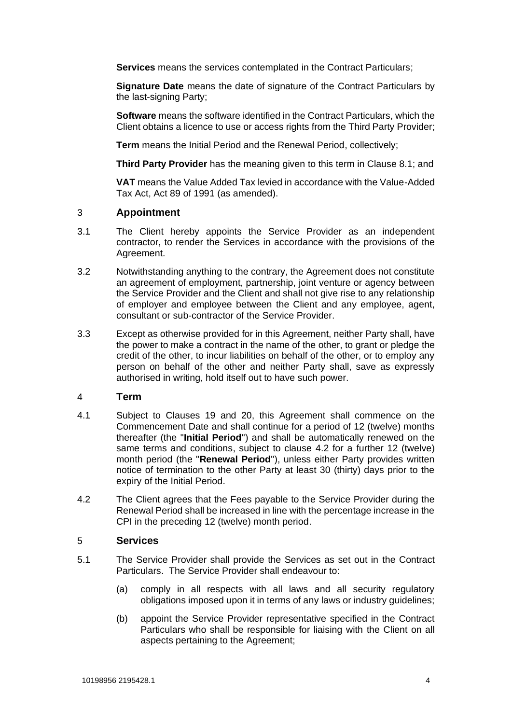**Services** means the services contemplated in the Contract Particulars;

**Signature Date** means the date of signature of the Contract Particulars by the last-signing Party;

**Software** means the software identified in the Contract Particulars, which the Client obtains a licence to use or access rights from the Third Party Provider;

**Term** means the Initial Period and the Renewal Period, collectively;

**Third Party Provider** has the meaning given to this term in Clause [8.1;](#page-5-0) and

**VAT** means the Value Added Tax levied in accordance with the Value-Added Tax Act, Act 89 of 1991 (as amended).

### 3 **Appointment**

- 3.1 The Client hereby appoints the Service Provider as an independent contractor, to render the Services in accordance with the provisions of the Agreement.
- 3.2 Notwithstanding anything to the contrary, the Agreement does not constitute an agreement of employment, partnership, joint venture or agency between the Service Provider and the Client and shall not give rise to any relationship of employer and employee between the Client and any employee, agent, consultant or sub-contractor of the Service Provider.
- 3.3 Except as otherwise provided for in this Agreement, neither Party shall, have the power to make a contract in the name of the other, to grant or pledge the credit of the other, to incur liabilities on behalf of the other, or to employ any person on behalf of the other and neither Party shall, save as expressly authorised in writing, hold itself out to have such power.

#### <span id="page-3-0"></span>4 **Term**

- 4.1 Subject to Clauses [19](#page-10-0) and [20,](#page-11-0) this Agreement shall commence on the Commencement Date and shall continue for a period of 12 (twelve) months thereafter (the "**Initial Period**") and shall be automatically renewed on the same terms and conditions, subject to clause [4.2](#page-3-1) for a further 12 (twelve) month period (the "**Renewal Period**"), unless either Party provides written notice of termination to the other Party at least 30 (thirty) days prior to the expiry of the Initial Period.
- <span id="page-3-1"></span>4.2 The Client agrees that the Fees payable to the Service Provider during the Renewal Period shall be increased in line with the percentage increase in the CPI in the preceding 12 (twelve) month period.

#### 5 **Services**

- 5.1 The Service Provider shall provide the Services as set out in the Contract Particulars. The Service Provider shall endeavour to:
	- (a) comply in all respects with all laws and all security regulatory obligations imposed upon it in terms of any laws or industry guidelines;
	- (b) appoint the Service Provider representative specified in the Contract Particulars who shall be responsible for liaising with the Client on all aspects pertaining to the Agreement;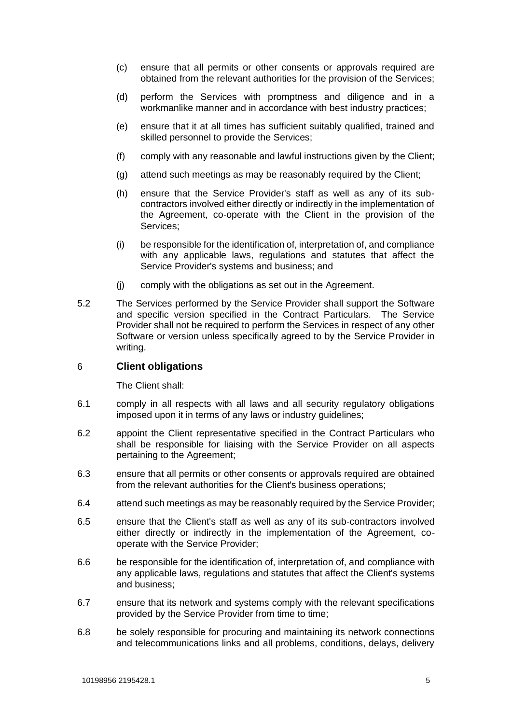- (c) ensure that all permits or other consents or approvals required are obtained from the relevant authorities for the provision of the Services;
- (d) perform the Services with promptness and diligence and in a workmanlike manner and in accordance with best industry practices;
- (e) ensure that it at all times has sufficient suitably qualified, trained and skilled personnel to provide the Services;
- (f) comply with any reasonable and lawful instructions given by the Client;
- (g) attend such meetings as may be reasonably required by the Client;
- (h) ensure that the Service Provider's staff as well as any of its subcontractors involved either directly or indirectly in the implementation of the Agreement, co-operate with the Client in the provision of the Services;
- (i) be responsible for the identification of, interpretation of, and compliance with any applicable laws, regulations and statutes that affect the Service Provider's systems and business; and
- (j) comply with the obligations as set out in the Agreement.
- 5.2 The Services performed by the Service Provider shall support the Software and specific version specified in the Contract Particulars. The Service Provider shall not be required to perform the Services in respect of any other Software or version unless specifically agreed to by the Service Provider in writing.

#### 6 **Client obligations**

The Client shall:

- 6.1 comply in all respects with all laws and all security regulatory obligations imposed upon it in terms of any laws or industry guidelines;
- 6.2 appoint the Client representative specified in the Contract Particulars who shall be responsible for liaising with the Service Provider on all aspects pertaining to the Agreement;
- 6.3 ensure that all permits or other consents or approvals required are obtained from the relevant authorities for the Client's business operations;
- 6.4 attend such meetings as may be reasonably required by the Service Provider;
- 6.5 ensure that the Client's staff as well as any of its sub-contractors involved either directly or indirectly in the implementation of the Agreement, cooperate with the Service Provider;
- 6.6 be responsible for the identification of, interpretation of, and compliance with any applicable laws, regulations and statutes that affect the Client's systems and business;
- 6.7 ensure that its network and systems comply with the relevant specifications provided by the Service Provider from time to time;
- 6.8 be solely responsible for procuring and maintaining its network connections and telecommunications links and all problems, conditions, delays, delivery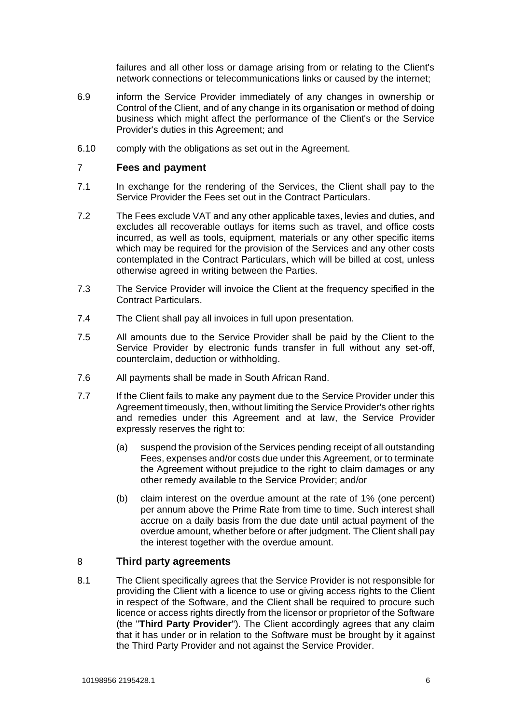failures and all other loss or damage arising from or relating to the Client's network connections or telecommunications links or caused by the internet;

- 6.9 inform the Service Provider immediately of any changes in ownership or Control of the Client, and of any change in its organisation or method of doing business which might affect the performance of the Client's or the Service Provider's duties in this Agreement; and
- 6.10 comply with the obligations as set out in the Agreement.

### 7 **Fees and payment**

- 7.1 In exchange for the rendering of the Services, the Client shall pay to the Service Provider the Fees set out in the Contract Particulars.
- 7.2 The Fees exclude VAT and any other applicable taxes, levies and duties, and excludes all recoverable outlays for items such as travel, and office costs incurred, as well as tools, equipment, materials or any other specific items which may be required for the provision of the Services and any other costs contemplated in the Contract Particulars, which will be billed at cost, unless otherwise agreed in writing between the Parties.
- 7.3 The Service Provider will invoice the Client at the frequency specified in the Contract Particulars.
- 7.4 The Client shall pay all invoices in full upon presentation.
- 7.5 All amounts due to the Service Provider shall be paid by the Client to the Service Provider by electronic funds transfer in full without any set-off, counterclaim, deduction or withholding.
- 7.6 All payments shall be made in South African Rand.
- 7.7 If the Client fails to make any payment due to the Service Provider under this Agreement timeously, then, without limiting the Service Provider's other rights and remedies under this Agreement and at law, the Service Provider expressly reserves the right to:
	- (a) suspend the provision of the Services pending receipt of all outstanding Fees, expenses and/or costs due under this Agreement, or to terminate the Agreement without prejudice to the right to claim damages or any other remedy available to the Service Provider; and/or
	- (b) claim interest on the overdue amount at the rate of 1% (one percent) per annum above the Prime Rate from time to time. Such interest shall accrue on a daily basis from the due date until actual payment of the overdue amount, whether before or after judgment. The Client shall pay the interest together with the overdue amount.

## 8 **Third party agreements**

<span id="page-5-0"></span>8.1 The Client specifically agrees that the Service Provider is not responsible for providing the Client with a licence to use or giving access rights to the Client in respect of the Software, and the Client shall be required to procure such licence or access rights directly from the licensor or proprietor of the Software (the "**Third Party Provider**"). The Client accordingly agrees that any claim that it has under or in relation to the Software must be brought by it against the Third Party Provider and not against the Service Provider.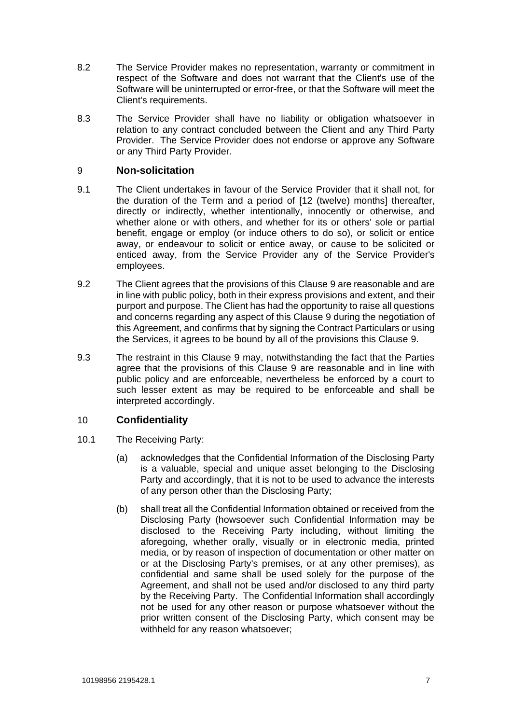- 8.2 The Service Provider makes no representation, warranty or commitment in respect of the Software and does not warrant that the Client's use of the Software will be uninterrupted or error-free, or that the Software will meet the Client's requirements.
- 8.3 The Service Provider shall have no liability or obligation whatsoever in relation to any contract concluded between the Client and any Third Party Provider. The Service Provider does not endorse or approve any Software or any Third Party Provider.

# <span id="page-6-0"></span>9 **Non-solicitation**

- 9.1 The Client undertakes in favour of the Service Provider that it shall not, for the duration of the Term and a period of [12 (twelve) months] thereafter, directly or indirectly, whether intentionally, innocently or otherwise, and whether alone or with others, and whether for its or others' sole or partial benefit, engage or employ (or induce others to do so), or solicit or entice away, or endeavour to solicit or entice away, or cause to be solicited or enticed away, from the Service Provider any of the Service Provider's employees.
- 9.2 The Client agrees that the provisions of this Clause [9](#page-6-0) are reasonable and are in line with public policy, both in their express provisions and extent, and their purport and purpose. The Client has had the opportunity to raise all questions and concerns regarding any aspect of this Clause [9](#page-6-0) during the negotiation of this Agreement, and confirms that by signing the Contract Particulars or using the Services, it agrees to be bound by all of the provisions this Clause [9.](#page-6-0)
- 9.3 The restraint in this Clause [9](#page-6-0) may, notwithstanding the fact that the Parties agree that the provisions of this Clause [9](#page-6-0) are reasonable and in line with public policy and are enforceable, nevertheless be enforced by a court to such lesser extent as may be required to be enforceable and shall be interpreted accordingly.

# <span id="page-6-1"></span>10 **Confidentiality**

- 10.1 The Receiving Party:
	- (a) acknowledges that the Confidential Information of the Disclosing Party is a valuable, special and unique asset belonging to the Disclosing Party and accordingly, that it is not to be used to advance the interests of any person other than the Disclosing Party;
	- (b) shall treat all the Confidential Information obtained or received from the Disclosing Party (howsoever such Confidential Information may be disclosed to the Receiving Party including, without limiting the aforegoing, whether orally, visually or in electronic media, printed media, or by reason of inspection of documentation or other matter on or at the Disclosing Party's premises, or at any other premises), as confidential and same shall be used solely for the purpose of the Agreement, and shall not be used and/or disclosed to any third party by the Receiving Party. The Confidential Information shall accordingly not be used for any other reason or purpose whatsoever without the prior written consent of the Disclosing Party, which consent may be withheld for any reason whatsoever;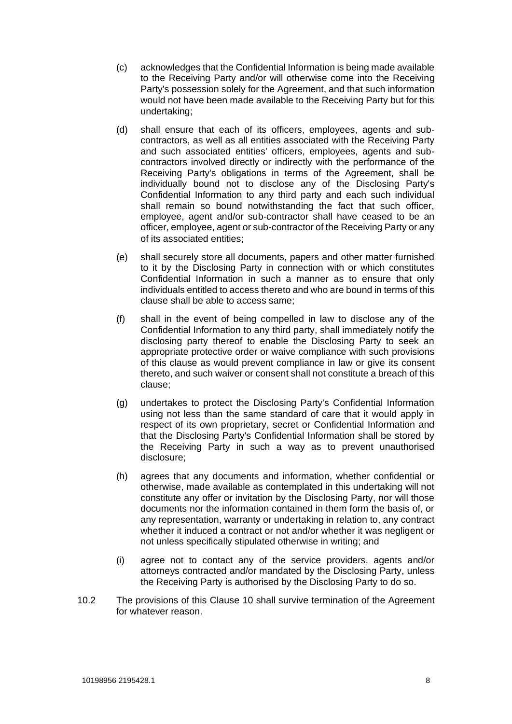- (c) acknowledges that the Confidential Information is being made available to the Receiving Party and/or will otherwise come into the Receiving Party's possession solely for the Agreement, and that such information would not have been made available to the Receiving Party but for this undertaking;
- (d) shall ensure that each of its officers, employees, agents and subcontractors, as well as all entities associated with the Receiving Party and such associated entities' officers, employees, agents and subcontractors involved directly or indirectly with the performance of the Receiving Party's obligations in terms of the Agreement, shall be individually bound not to disclose any of the Disclosing Party's Confidential Information to any third party and each such individual shall remain so bound notwithstanding the fact that such officer, employee, agent and/or sub-contractor shall have ceased to be an officer, employee, agent or sub-contractor of the Receiving Party or any of its associated entities;
- (e) shall securely store all documents, papers and other matter furnished to it by the Disclosing Party in connection with or which constitutes Confidential Information in such a manner as to ensure that only individuals entitled to access thereto and who are bound in terms of this clause shall be able to access same;
- (f) shall in the event of being compelled in law to disclose any of the Confidential Information to any third party, shall immediately notify the disclosing party thereof to enable the Disclosing Party to seek an appropriate protective order or waive compliance with such provisions of this clause as would prevent compliance in law or give its consent thereto, and such waiver or consent shall not constitute a breach of this clause;
- (g) undertakes to protect the Disclosing Party's Confidential Information using not less than the same standard of care that it would apply in respect of its own proprietary, secret or Confidential Information and that the Disclosing Party's Confidential Information shall be stored by the Receiving Party in such a way as to prevent unauthorised disclosure;
- (h) agrees that any documents and information, whether confidential or otherwise, made available as contemplated in this undertaking will not constitute any offer or invitation by the Disclosing Party, nor will those documents nor the information contained in them form the basis of, or any representation, warranty or undertaking in relation to, any contract whether it induced a contract or not and/or whether it was negligent or not unless specifically stipulated otherwise in writing; and
- (i) agree not to contact any of the service providers, agents and/or attorneys contracted and/or mandated by the Disclosing Party, unless the Receiving Party is authorised by the Disclosing Party to do so.
- 10.2 The provisions of this Clause [10](#page-6-1) shall survive termination of the Agreement for whatever reason.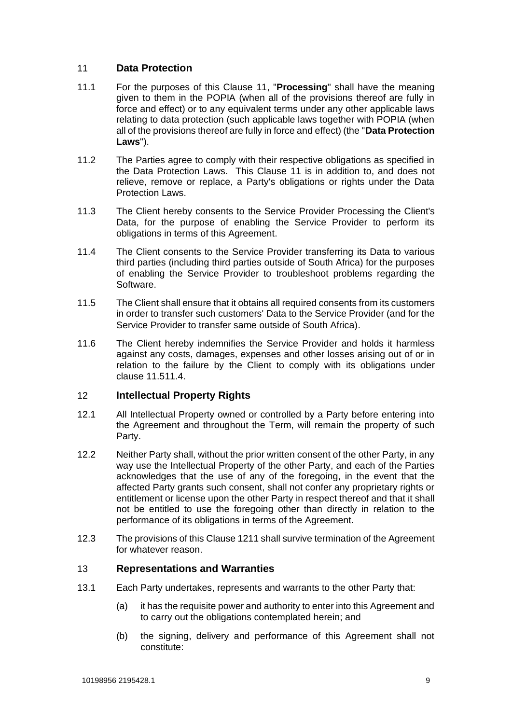# <span id="page-8-0"></span>11 **Data Protection**

- 11.1 For the purposes of this Clause [11,](#page-8-0) "**Processing**" shall have the meaning given to them in the POPIA (when all of the provisions thereof are fully in force and effect) or to any equivalent terms under any other applicable laws relating to data protection (such applicable laws together with POPIA (when all of the provisions thereof are fully in force and effect) (the "**Data Protection Laws**").
- 11.2 The Parties agree to comply with their respective obligations as specified in the Data Protection Laws. This Clause [11](#page-8-0) is in addition to, and does not relieve, remove or replace, a Party's obligations or rights under the Data Protection Laws.
- 11.3 The Client hereby consents to the Service Provider Processing the Client's Data, for the purpose of enabling the Service Provider to perform its obligations in terms of this Agreement.
- <span id="page-8-2"></span>11.4 The Client consents to the Service Provider transferring its Data to various third parties (including third parties outside of South Africa) for the purposes of enabling the Service Provider to troubleshoot problems regarding the Software.
- <span id="page-8-1"></span>11.5 The Client shall ensure that it obtains all required consents from its customers in order to transfer such customers' Data to the Service Provider (and for the Service Provider to transfer same outside of South Africa).
- 11.6 The Client hereby indemnifies the Service Provider and holds it harmless against any costs, damages, expenses and other losses arising out of or in relation to the failure by the Client to comply with its obligations under clause [11.5](#page-8-1)[11.4.](#page-8-2)

## <span id="page-8-3"></span>12 **Intellectual Property Rights**

- 12.1 All Intellectual Property owned or controlled by a Party before entering into the Agreement and throughout the Term, will remain the property of such Party.
- 12.2 Neither Party shall, without the prior written consent of the other Party, in any way use the Intellectual Property of the other Party, and each of the Parties acknowledges that the use of any of the foregoing, in the event that the affected Party grants such consent, shall not confer any proprietary rights or entitlement or license upon the other Party in respect thereof and that it shall not be entitled to use the foregoing other than directly in relation to the performance of its obligations in terms of the Agreement.
- 12.3 The provisions of this Clause [12](#page-8-3)[11](#page-8-0) shall survive termination of the Agreement for whatever reason.

## 13 **Representations and Warranties**

- 13.1 Each Party undertakes, represents and warrants to the other Party that:
	- (a) it has the requisite power and authority to enter into this Agreement and to carry out the obligations contemplated herein; and
	- (b) the signing, delivery and performance of this Agreement shall not constitute: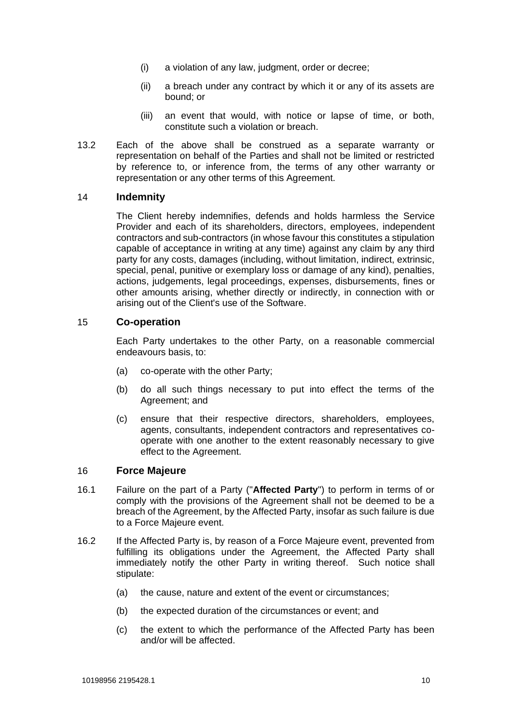- (i) a violation of any law, judgment, order or decree;
- (ii) a breach under any contract by which it or any of its assets are bound; or
- (iii) an event that would, with notice or lapse of time, or both, constitute such a violation or breach.
- 13.2 Each of the above shall be construed as a separate warranty or representation on behalf of the Parties and shall not be limited or restricted by reference to, or inference from, the terms of any other warranty or representation or any other terms of this Agreement.

## 14 **Indemnity**

The Client hereby indemnifies, defends and holds harmless the Service Provider and each of its shareholders, directors, employees, independent contractors and sub-contractors (in whose favour this constitutes a stipulation capable of acceptance in writing at any time) against any claim by any third party for any costs, damages (including, without limitation, indirect, extrinsic, special, penal, punitive or exemplary loss or damage of any kind), penalties, actions, judgements, legal proceedings, expenses, disbursements, fines or other amounts arising, whether directly or indirectly, in connection with or arising out of the Client's use of the Software.

### 15 **Co-operation**

Each Party undertakes to the other Party, on a reasonable commercial endeavours basis, to:

- (a) co-operate with the other Party;
- (b) do all such things necessary to put into effect the terms of the Agreement; and
- (c) ensure that their respective directors, shareholders, employees, agents, consultants, independent contractors and representatives cooperate with one another to the extent reasonably necessary to give effect to the Agreement.

## 16 **Force Majeure**

- 16.1 Failure on the part of a Party ("**Affected Party**") to perform in terms of or comply with the provisions of the Agreement shall not be deemed to be a breach of the Agreement, by the Affected Party, insofar as such failure is due to a Force Majeure event.
- 16.2 If the Affected Party is, by reason of a Force Majeure event, prevented from fulfilling its obligations under the Agreement, the Affected Party shall immediately notify the other Party in writing thereof. Such notice shall stipulate:
	- (a) the cause, nature and extent of the event or circumstances;
	- (b) the expected duration of the circumstances or event; and
	- (c) the extent to which the performance of the Affected Party has been and/or will be affected.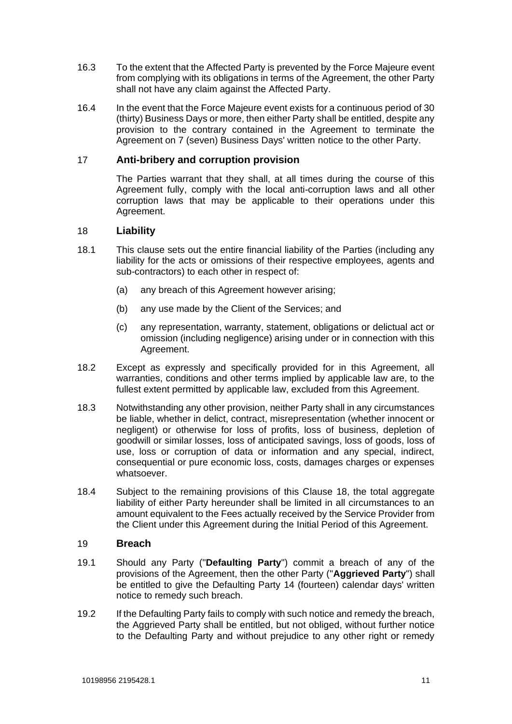- 16.3 To the extent that the Affected Party is prevented by the Force Majeure event from complying with its obligations in terms of the Agreement, the other Party shall not have any claim against the Affected Party.
- 16.4 In the event that the Force Majeure event exists for a continuous period of 30 (thirty) Business Days or more, then either Party shall be entitled, despite any provision to the contrary contained in the Agreement to terminate the Agreement on 7 (seven) Business Days' written notice to the other Party.

## 17 **Anti-bribery and corruption provision**

The Parties warrant that they shall, at all times during the course of this Agreement fully, comply with the local anti-corruption laws and all other corruption laws that may be applicable to their operations under this Agreement.

## <span id="page-10-1"></span>18 **Liability**

- 18.1 This clause sets out the entire financial liability of the Parties (including any liability for the acts or omissions of their respective employees, agents and sub-contractors) to each other in respect of:
	- (a) any breach of this Agreement however arising;
	- (b) any use made by the Client of the Services; and
	- (c) any representation, warranty, statement, obligations or delictual act or omission (including negligence) arising under or in connection with this Agreement.
- 18.2 Except as expressly and specifically provided for in this Agreement, all warranties, conditions and other terms implied by applicable law are, to the fullest extent permitted by applicable law, excluded from this Agreement.
- 18.3 Notwithstanding any other provision, neither Party shall in any circumstances be liable, whether in delict, contract, misrepresentation (whether innocent or negligent) or otherwise for loss of profits, loss of business, depletion of goodwill or similar losses, loss of anticipated savings, loss of goods, loss of use, loss or corruption of data or information and any special, indirect, consequential or pure economic loss, costs, damages charges or expenses whatsoever.
- 18.4 Subject to the remaining provisions of this Clause [18,](#page-10-1) the total aggregate liability of either Party hereunder shall be limited in all circumstances to an amount equivalent to the Fees actually received by the Service Provider from the Client under this Agreement during the Initial Period of this Agreement.

#### <span id="page-10-0"></span>19 **Breach**

- <span id="page-10-2"></span>19.1 Should any Party ("**Defaulting Party**") commit a breach of any of the provisions of the Agreement, then the other Party ("**Aggrieved Party**") shall be entitled to give the Defaulting Party 14 (fourteen) calendar days' written notice to remedy such breach.
- 19.2 If the Defaulting Party fails to comply with such notice and remedy the breach, the Aggrieved Party shall be entitled, but not obliged, without further notice to the Defaulting Party and without prejudice to any other right or remedy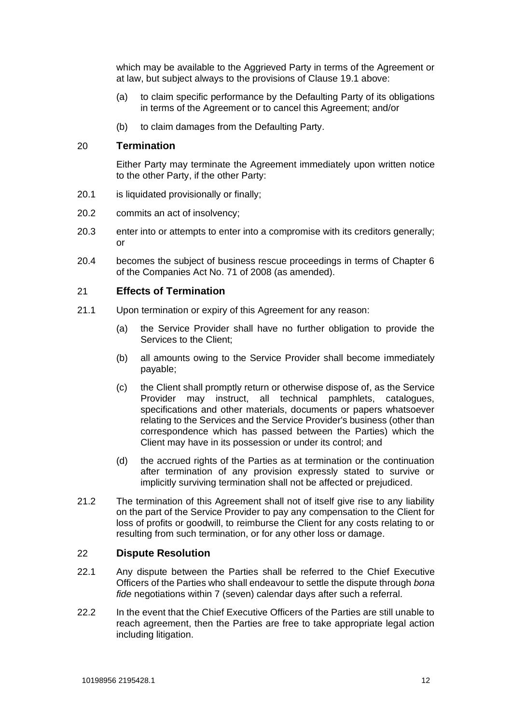which may be available to the Aggrieved Party in terms of the Agreement or at law, but subject always to the provisions of Clause [19.1](#page-10-2) above:

- (a) to claim specific performance by the Defaulting Party of its obligations in terms of the Agreement or to cancel this Agreement; and/or
- (b) to claim damages from the Defaulting Party.

## <span id="page-11-0"></span>20 **Termination**

Either Party may terminate the Agreement immediately upon written notice to the other Party, if the other Party:

- 20.1 is liquidated provisionally or finally;
- 20.2 commits an act of insolvency;
- 20.3 enter into or attempts to enter into a compromise with its creditors generally; or
- 20.4 becomes the subject of business rescue proceedings in terms of Chapter 6 of the Companies Act No. 71 of 2008 (as amended).

## 21 **Effects of Termination**

- 21.1 Upon termination or expiry of this Agreement for any reason:
	- (a) the Service Provider shall have no further obligation to provide the Services to the Client;
	- (b) all amounts owing to the Service Provider shall become immediately payable;
	- (c) the Client shall promptly return or otherwise dispose of, as the Service Provider may instruct, all technical pamphlets, catalogues, specifications and other materials, documents or papers whatsoever relating to the Services and the Service Provider's business (other than correspondence which has passed between the Parties) which the Client may have in its possession or under its control; and
	- (d) the accrued rights of the Parties as at termination or the continuation after termination of any provision expressly stated to survive or implicitly surviving termination shall not be affected or prejudiced.
- 21.2 The termination of this Agreement shall not of itself give rise to any liability on the part of the Service Provider to pay any compensation to the Client for loss of profits or goodwill, to reimburse the Client for any costs relating to or resulting from such termination, or for any other loss or damage.

## 22 **Dispute Resolution**

- 22.1 Any dispute between the Parties shall be referred to the Chief Executive Officers of the Parties who shall endeavour to settle the dispute through *bona fide* negotiations within 7 (seven) calendar days after such a referral.
- 22.2 In the event that the Chief Executive Officers of the Parties are still unable to reach agreement, then the Parties are free to take appropriate legal action including litigation.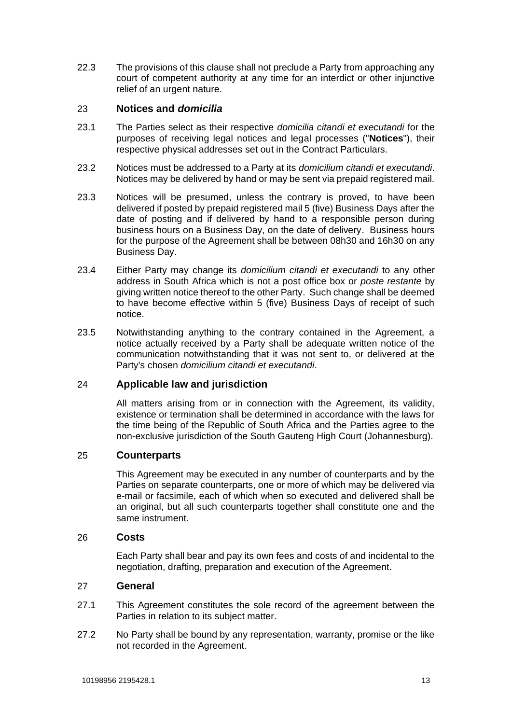22.3 The provisions of this clause shall not preclude a Party from approaching any court of competent authority at any time for an interdict or other injunctive relief of an urgent nature.

# 23 **Notices and** *domicilia*

- 23.1 The Parties select as their respective *domicilia citandi et executandi* for the purposes of receiving legal notices and legal processes ("**Notices**"), their respective physical addresses set out in the Contract Particulars.
- 23.2 Notices must be addressed to a Party at its *domicilium citandi et executandi*. Notices may be delivered by hand or may be sent via prepaid registered mail.
- 23.3 Notices will be presumed, unless the contrary is proved, to have been delivered if posted by prepaid registered mail 5 (five) Business Days after the date of posting and if delivered by hand to a responsible person during business hours on a Business Day, on the date of delivery. Business hours for the purpose of the Agreement shall be between 08h30 and 16h30 on any Business Day.
- 23.4 Either Party may change its *domicilium citandi et executandi* to any other address in South Africa which is not a post office box or *poste restante* by giving written notice thereof to the other Party. Such change shall be deemed to have become effective within 5 (five) Business Days of receipt of such notice.
- 23.5 Notwithstanding anything to the contrary contained in the Agreement, a notice actually received by a Party shall be adequate written notice of the communication notwithstanding that it was not sent to, or delivered at the Party's chosen *domicilium citandi et executandi*.

# 24 **Applicable law and jurisdiction**

All matters arising from or in connection with the Agreement, its validity, existence or termination shall be determined in accordance with the laws for the time being of the Republic of South Africa and the Parties agree to the non-exclusive jurisdiction of the South Gauteng High Court (Johannesburg).

## 25 **Counterparts**

This Agreement may be executed in any number of counterparts and by the Parties on separate counterparts, one or more of which may be delivered via e-mail or facsimile, each of which when so executed and delivered shall be an original, but all such counterparts together shall constitute one and the same instrument.

## 26 **Costs**

Each Party shall bear and pay its own fees and costs of and incidental to the negotiation, drafting, preparation and execution of the Agreement.

## 27 **General**

- 27.1 This Agreement constitutes the sole record of the agreement between the Parties in relation to its subject matter.
- 27.2 No Party shall be bound by any representation, warranty, promise or the like not recorded in the Agreement.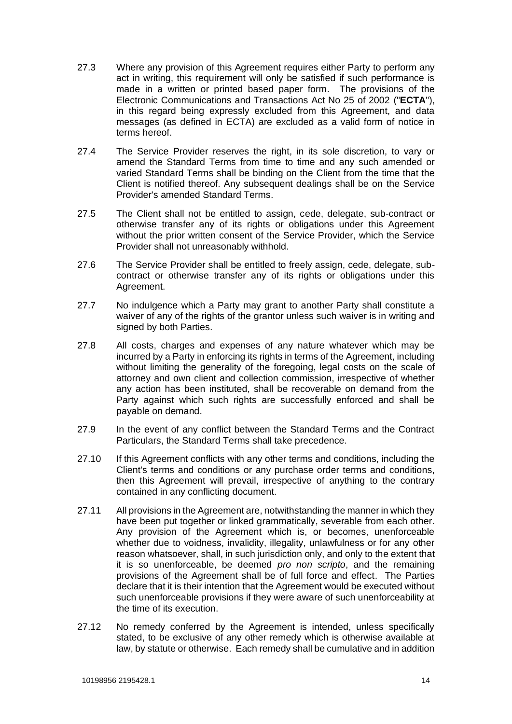- 27.3 Where any provision of this Agreement requires either Party to perform any act in writing, this requirement will only be satisfied if such performance is made in a written or printed based paper form. The provisions of the Electronic Communications and Transactions Act No 25 of 2002 ("**ECTA**"), in this regard being expressly excluded from this Agreement, and data messages (as defined in ECTA) are excluded as a valid form of notice in terms hereof.
- 27.4 The Service Provider reserves the right, in its sole discretion, to vary or amend the Standard Terms from time to time and any such amended or varied Standard Terms shall be binding on the Client from the time that the Client is notified thereof. Any subsequent dealings shall be on the Service Provider's amended Standard Terms.
- 27.5 The Client shall not be entitled to assign, cede, delegate, sub-contract or otherwise transfer any of its rights or obligations under this Agreement without the prior written consent of the Service Provider, which the Service Provider shall not unreasonably withhold.
- 27.6 The Service Provider shall be entitled to freely assign, cede, delegate, subcontract or otherwise transfer any of its rights or obligations under this Agreement.
- 27.7 No indulgence which a Party may grant to another Party shall constitute a waiver of any of the rights of the grantor unless such waiver is in writing and signed by both Parties.
- 27.8 All costs, charges and expenses of any nature whatever which may be incurred by a Party in enforcing its rights in terms of the Agreement, including without limiting the generality of the foregoing, legal costs on the scale of attorney and own client and collection commission, irrespective of whether any action has been instituted, shall be recoverable on demand from the Party against which such rights are successfully enforced and shall be payable on demand.
- 27.9 In the event of any conflict between the Standard Terms and the Contract Particulars, the Standard Terms shall take precedence.
- 27.10 If this Agreement conflicts with any other terms and conditions, including the Client's terms and conditions or any purchase order terms and conditions, then this Agreement will prevail, irrespective of anything to the contrary contained in any conflicting document.
- 27.11 All provisions in the Agreement are, notwithstanding the manner in which they have been put together or linked grammatically, severable from each other. Any provision of the Agreement which is, or becomes, unenforceable whether due to voidness, invalidity, illegality, unlawfulness or for any other reason whatsoever, shall, in such jurisdiction only, and only to the extent that it is so unenforceable, be deemed *pro non scripto*, and the remaining provisions of the Agreement shall be of full force and effect. The Parties declare that it is their intention that the Agreement would be executed without such unenforceable provisions if they were aware of such unenforceability at the time of its execution.
- 27.12 No remedy conferred by the Agreement is intended, unless specifically stated, to be exclusive of any other remedy which is otherwise available at law, by statute or otherwise. Each remedy shall be cumulative and in addition